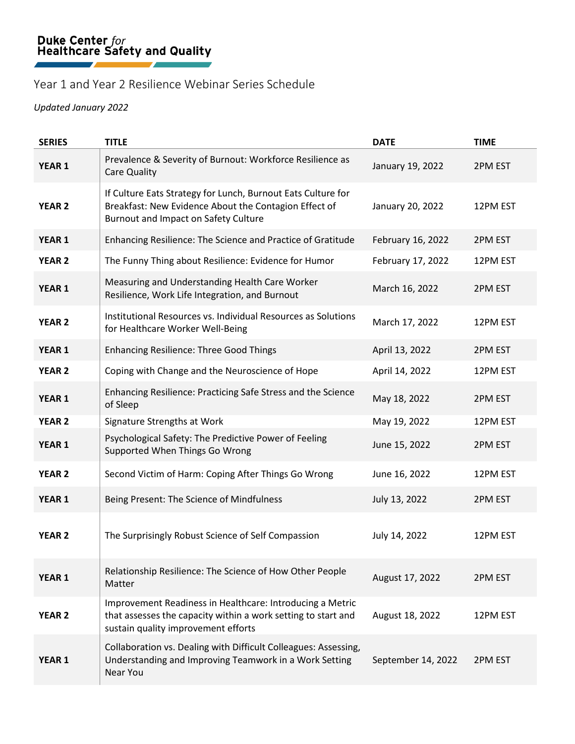## Year 1 and Year 2 Resilience Webinar Series Schedule

## *Updated January 2022*

| <b>SERIES</b>     | <b>TITLE</b>                                                                                                                                                      | <b>DATE</b>        | <b>TIME</b> |
|-------------------|-------------------------------------------------------------------------------------------------------------------------------------------------------------------|--------------------|-------------|
| YEAR <sub>1</sub> | Prevalence & Severity of Burnout: Workforce Resilience as<br>Care Quality                                                                                         | January 19, 2022   | 2PM EST     |
| <b>YEAR 2</b>     | If Culture Eats Strategy for Lunch, Burnout Eats Culture for<br>Breakfast: New Evidence About the Contagion Effect of<br>Burnout and Impact on Safety Culture     | January 20, 2022   | 12PM EST    |
| <b>YEAR 1</b>     | Enhancing Resilience: The Science and Practice of Gratitude                                                                                                       | February 16, 2022  | 2PM EST     |
| <b>YEAR 2</b>     | The Funny Thing about Resilience: Evidence for Humor                                                                                                              | February 17, 2022  | 12PM EST    |
| <b>YEAR 1</b>     | Measuring and Understanding Health Care Worker<br>Resilience, Work Life Integration, and Burnout                                                                  | March 16, 2022     | 2PM EST     |
| <b>YEAR 2</b>     | Institutional Resources vs. Individual Resources as Solutions<br>for Healthcare Worker Well-Being                                                                 | March 17, 2022     | 12PM EST    |
| <b>YEAR 1</b>     | <b>Enhancing Resilience: Three Good Things</b>                                                                                                                    | April 13, 2022     | 2PM EST     |
| <b>YEAR 2</b>     | Coping with Change and the Neuroscience of Hope                                                                                                                   | April 14, 2022     | 12PM EST    |
| <b>YEAR 1</b>     | Enhancing Resilience: Practicing Safe Stress and the Science<br>of Sleep                                                                                          | May 18, 2022       | 2PM EST     |
| <b>YEAR 2</b>     | Signature Strengths at Work                                                                                                                                       | May 19, 2022       | 12PM EST    |
| <b>YEAR 1</b>     | Psychological Safety: The Predictive Power of Feeling<br>Supported When Things Go Wrong                                                                           | June 15, 2022      | 2PM EST     |
| <b>YEAR 2</b>     | Second Victim of Harm: Coping After Things Go Wrong                                                                                                               | June 16, 2022      | 12PM EST    |
| <b>YEAR 1</b>     | Being Present: The Science of Mindfulness                                                                                                                         | July 13, 2022      | 2PM EST     |
| <b>YEAR 2</b>     | The Surprisingly Robust Science of Self Compassion                                                                                                                | July 14, 2022      | 12PM EST    |
| YEAR 1            | Relationship Resilience: The Science of How Other People<br>Matter                                                                                                | August 17, 2022    | 2PM EST     |
| <b>YEAR 2</b>     | Improvement Readiness in Healthcare: Introducing a Metric<br>that assesses the capacity within a work setting to start and<br>sustain quality improvement efforts | August 18, 2022    | 12PM EST    |
| <b>YEAR 1</b>     | Collaboration vs. Dealing with Difficult Colleagues: Assessing,<br>Understanding and Improving Teamwork in a Work Setting<br>Near You                             | September 14, 2022 | 2PM EST     |